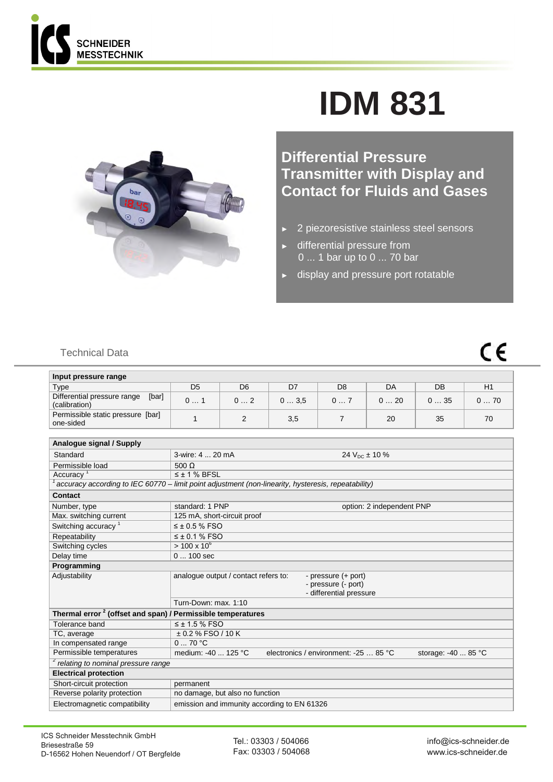

## **IDM 831**



**Differential Pressure Transmitter with Display and Contact for Fluids and Gases** 

- ► 2 piezoresistive stainless steel sensors
- ► differential pressure from 0 ... 1 bar up to 0 ... 70 bar
- ► display and pressure port rotatable

## $\epsilon$

## Technical Data

| Input pressure range                                  |    |    |      |    |     |     |     |
|-------------------------------------------------------|----|----|------|----|-----|-----|-----|
| Type                                                  | D5 | D6 | D7   | D8 | DA  | DB  | H1  |
| [bar]<br>Differential pressure range<br>(calibration) | 01 | 02 | 03.5 | 0  | 020 | 035 | 070 |
| Permissible static pressure [bar]<br>one-sided        |    |    | 3,5  |    | 20  | 35  | 70  |

| Analoque signal / Supply                                                |                                                                                                     |
|-------------------------------------------------------------------------|-----------------------------------------------------------------------------------------------------|
| Standard                                                                | 3-wire: 4  20 mA<br>24 $V_{DC}$ ± 10 %                                                              |
| Permissible load                                                        | 500 $\Omega$                                                                                        |
| Accuracy <sup>1</sup>                                                   | $\leq$ ± 1 % BFSL                                                                                   |
|                                                                         | accuracy according to IEC 60770 – limit point adjustment (non-linearity, hysteresis, repeatability) |
| Contact                                                                 |                                                                                                     |
| Number, type                                                            | standard: 1 PNP<br>option: 2 independent PNP                                                        |
| Max. switching current                                                  | 125 mA, short-circuit proof                                                                         |
| Switching accuracy <sup>1</sup>                                         | $\leq \pm 0.5$ % FSO                                                                                |
| Repeatability                                                           | $\leq$ ± 0.1 % FSO                                                                                  |
| Switching cycles                                                        | $> 100 \times 10^6$                                                                                 |
| Delay time                                                              | $0100$ sec                                                                                          |
| Programming                                                             |                                                                                                     |
| Adjustability                                                           | analogue output / contact refers to:<br>- pressure (+ port)                                         |
|                                                                         | - pressure (- port)                                                                                 |
|                                                                         | - differential pressure                                                                             |
|                                                                         | Turn-Down: max. 1:10                                                                                |
| Thermal error <sup>2</sup> (offset and span) / Permissible temperatures |                                                                                                     |
| Tolerance band                                                          | $\leq$ ± 1.5 % FSO                                                                                  |
| TC, average                                                             | $\pm$ 0.2 % FSO / 10 K                                                                              |
| In compensated range                                                    | 070 °C                                                                                              |
| Permissible temperatures                                                | medium: -40  125 °C<br>electronics / environment: -25  85 °C<br>storage: -40  85 °C                 |
| <sup>2</sup> relating to nominal pressure range                         |                                                                                                     |
| <b>Electrical protection</b>                                            |                                                                                                     |
| Short-circuit protection                                                | permanent                                                                                           |
| Reverse polarity protection                                             | no damage, but also no function                                                                     |
| Electromagnetic compatibility                                           | emission and immunity according to EN 61326                                                         |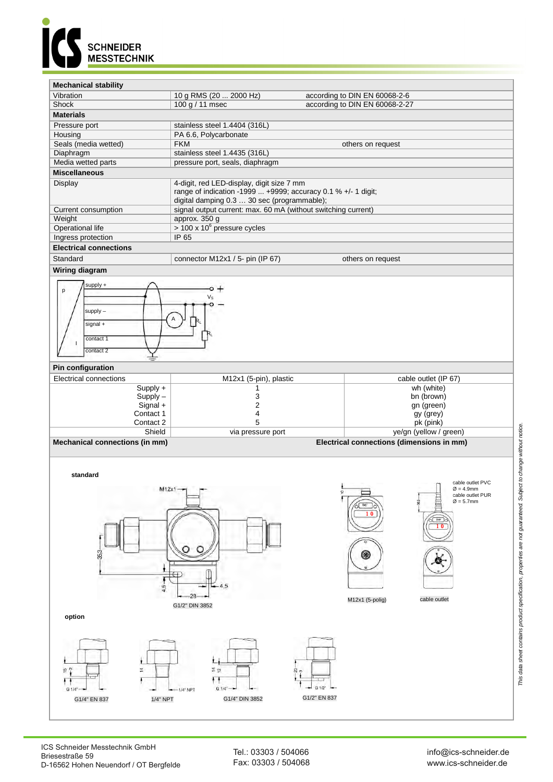

## **Mechanical stability**

| Vibration                     | 10 g RMS (20  2000 Hz)                                               | according to DIN EN 60068-2-6  |
|-------------------------------|----------------------------------------------------------------------|--------------------------------|
| Shock                         | 100 g / 11 msec                                                      | according to DIN EN 60068-2-27 |
| <b>Materials</b>              |                                                                      |                                |
| Pressure port                 | stainless steel 1.4404 (316L)                                        |                                |
| Housing                       | PA 6.6, Polycarbonate                                                |                                |
| Seals (media wetted)          | <b>FKM</b>                                                           | others on request              |
| Diaphragm                     | stainless steel 1.4435 (316L)                                        |                                |
| Media wetted parts            | pressure port, seals, diaphragm                                      |                                |
| <b>Miscellaneous</b>          |                                                                      |                                |
| Display                       | 4-digit, red LED-display, digit size 7 mm                            |                                |
|                               | range of indication -1999 $\dots$ +9999; accuracy 0.1 % +/- 1 digit; |                                |
|                               | digital damping 0.3  30 sec (programmable);                          |                                |
| Current consumption           | signal output current: max. 60 mA (without switching current)        |                                |
| Weight                        | approx. 350 g                                                        |                                |
| Operational life              | $>$ 100 x 10 <sup>6</sup> pressure cycles                            |                                |
| Ingress protection            | IP 65                                                                |                                |
| <b>Electrical connections</b> |                                                                      |                                |
| Standard                      | connector M12x1 / 5- pin (IP 67)                                     | others on request              |

**Wiring diagram**





| . <i></i>                      |                        |                                           |
|--------------------------------|------------------------|-------------------------------------------|
| <b>Electrical connections</b>  | M12x1 (5-pin), plastic | cable outlet (IP 67)                      |
| $Supply +$                     |                        | wh (white)                                |
| $Supply -$                     |                        | bn (brown)                                |
| $Signal +$                     |                        | gn (green)                                |
| Contact 1                      |                        | gy (grey)                                 |
| Contact 2                      |                        | pk (pink)                                 |
| Shield                         | via pressure port      | ye/gn (yellow / green)                    |
| Mechanical connections (in mm) |                        | Electrical connections (dimensions in mm) |

**standard**



Tel.: 03303 / 504066 Fax: 03303 / 504068